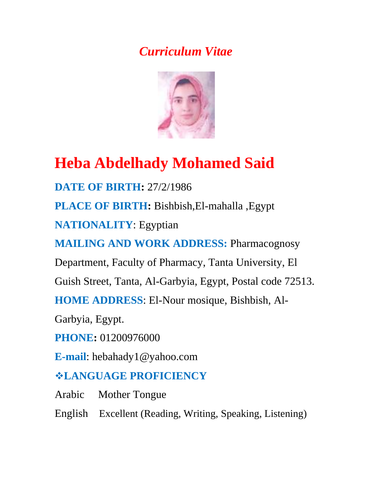# *Curriculum Vitae*



# **Heba Abdelhady Mohamed Said**

**DATE OF BIRTH:** 27/2/1986

**PLACE OF BIRTH:** Bishbish,El-mahalla ,Egypt

**NATIONALITY**: Egyptian

**MAILING AND WORK ADDRESS: Pharmacognosy** 

Department, Faculty of Pharmacy, Tanta University, El

Guish Street, Tanta, Al-Garbyia, Egypt, Postal code 72513.

**HOME ADDRESS**: El-Nour mosique, Bishbish, Al-

Garbyia, Egypt.

**PHONE:** 01200976000

**E-mail**: hebahady1@yahoo.com

# **LANGUAGE PROFICIENCY**

Arabic Mother Tongue

English Excellent (Reading, Writing, Speaking, Listening)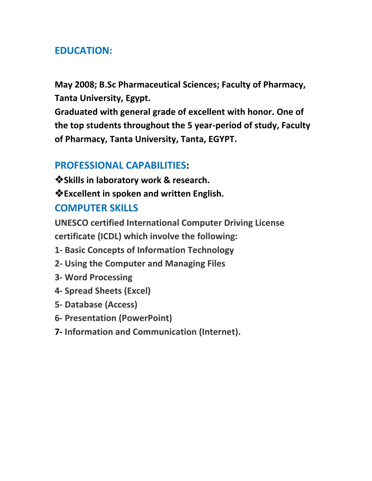## **EDUCATION:**

**May 2008; B.Sc Pharmaceutical Sciences; Faculty of Pharmacy, Tanta University, Egypt.**

**Graduated with general grade of excellent with honor. One of the top students throughout the 5 year-period of study, Faculty of Pharmacy, Tanta University, Tanta, EGYPT.**

#### **PROFESSIONAL CAPABILITIES:**

**Skills in laboratory work & research.**

**Excellent in spoken and written English.**

#### **COMPUTER SKILLS**

**UNESCO certified International Computer Driving License certificate (ICDL) which involve the following:**

- **1- Basic Concepts of Information Technology**
- **2- Using the Computer and Managing Files**
- **3- Word Processing**
- **4- Spread Sheets (Excel)**
- **5- Database (Access)**
- **6- Presentation (PowerPoint)**
- **7- Information and Communication (Internet).**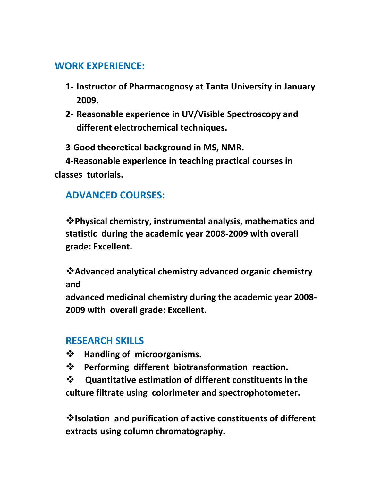## **WORK EXPERIENCE:**

- **1- Instructor of Pharmacognosy at Tanta University in January 2009.**
- **2- Reasonable experience in UV/Visible Spectroscopy and different electrochemical techniques.**

 **3-Good theoretical background in MS, NMR.**

 **4-Reasonable experience in teaching practical courses in classes tutorials.**

## **ADVANCED COURSES:**

**Physical chemistry, instrumental analysis, mathematics and statistic during the academic year 2008-2009 with overall grade: Excellent.**

**Advanced analytical chemistry advanced organic chemistry and**

**advanced medicinal chemistry during the academic year 2008- 2009 with overall grade: Excellent.**

#### **RESEARCH SKILLS**

- **Handling of microorganisms.**
- **Performing different biotransformation reaction.**

 **Quantitative estimation of different constituents in the culture filtrate using colorimeter and spectrophotometer.**

**Isolation and purification of active constituents of different extracts using column chromatography.**